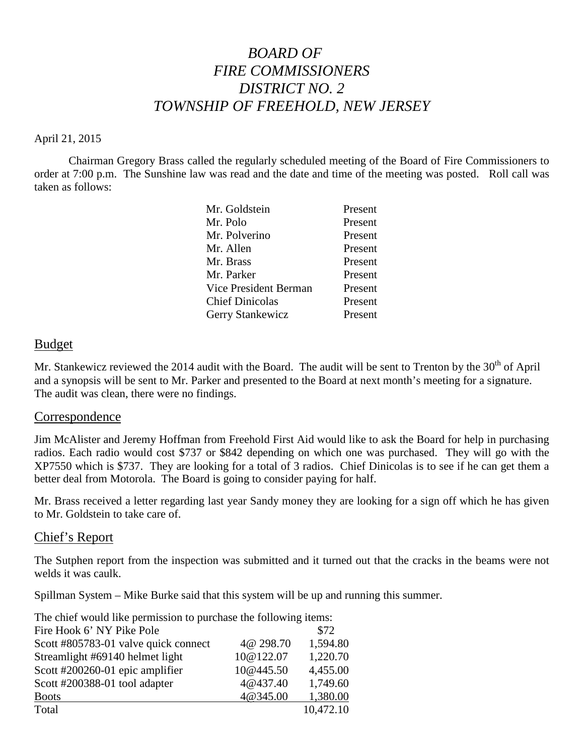# *BOARD OF FIRE COMMISSIONERS DISTRICT NO. 2 TOWNSHIP OF FREEHOLD, NEW JERSEY*

#### April 21, 2015

Chairman Gregory Brass called the regularly scheduled meeting of the Board of Fire Commissioners to order at 7:00 p.m. The Sunshine law was read and the date and time of the meeting was posted. Roll call was taken as follows:

| Mr. Goldstein          | Present |
|------------------------|---------|
| Mr. Polo               | Present |
| Mr. Polverino          | Present |
| Mr. Allen              | Present |
| Mr. Brass              | Present |
| Mr. Parker             | Present |
| Vice President Berman  | Present |
| <b>Chief Dinicolas</b> | Present |
| Gerry Stankewicz       | Present |

#### Budget

Mr. Stankewicz reviewed the 2014 audit with the Board. The audit will be sent to Trenton by the  $30<sup>th</sup>$  of April and a synopsis will be sent to Mr. Parker and presented to the Board at next month's meeting for a signature. The audit was clean, there were no findings.

#### Correspondence

Jim McAlister and Jeremy Hoffman from Freehold First Aid would like to ask the Board for help in purchasing radios. Each radio would cost \$737 or \$842 depending on which one was purchased. They will go with the XP7550 which is \$737. They are looking for a total of 3 radios. Chief Dinicolas is to see if he can get them a better deal from Motorola. The Board is going to consider paying for half.

Mr. Brass received a letter regarding last year Sandy money they are looking for a sign off which he has given to Mr. Goldstein to take care of.

#### Chief's Report

The Sutphen report from the inspection was submitted and it turned out that the cracks in the beams were not welds it was caulk.

Spillman System – Mike Burke said that this system will be up and running this summer.

|  |  | The chief would like permission to purchase the following items: |  |
|--|--|------------------------------------------------------------------|--|
|  |  |                                                                  |  |

|           | \$72      |                                                                     |
|-----------|-----------|---------------------------------------------------------------------|
| 4@ 298.70 | 1,594.80  |                                                                     |
| 10@122.07 | 1,220.70  |                                                                     |
| 10@445.50 | 4,455.00  |                                                                     |
| 4@437.40  | 1,749.60  |                                                                     |
| 4@345.00  | 1,380.00  |                                                                     |
|           | 10,472.10 |                                                                     |
|           |           | The effect would like permission to puremase the rollowing resilion |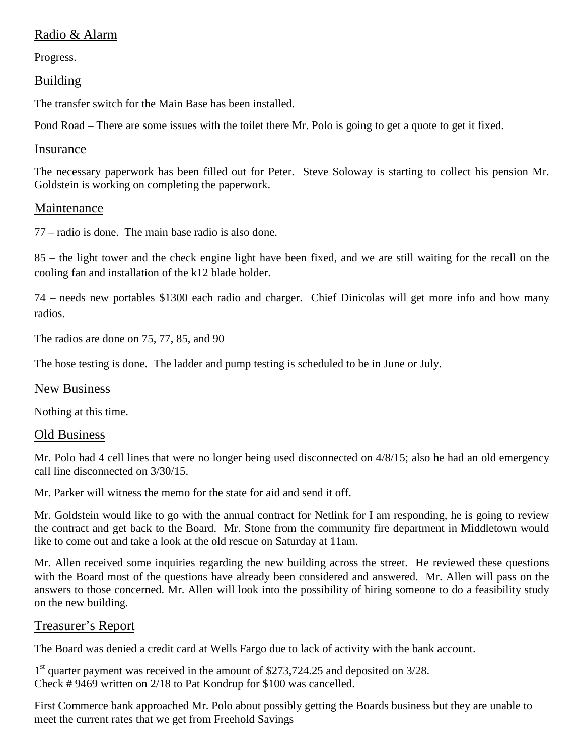## Radio & Alarm

Progress.

### Building

The transfer switch for the Main Base has been installed.

Pond Road – There are some issues with the toilet there Mr. Polo is going to get a quote to get it fixed.

### Insurance

The necessary paperwork has been filled out for Peter. Steve Soloway is starting to collect his pension Mr. Goldstein is working on completing the paperwork.

### Maintenance

77 – radio is done. The main base radio is also done.

85 – the light tower and the check engine light have been fixed, and we are still waiting for the recall on the cooling fan and installation of the k12 blade holder.

74 – needs new portables \$1300 each radio and charger. Chief Dinicolas will get more info and how many radios.

The radios are done on 75, 77, 85, and 90

The hose testing is done. The ladder and pump testing is scheduled to be in June or July.

#### New Business

Nothing at this time.

#### Old Business

Mr. Polo had 4 cell lines that were no longer being used disconnected on 4/8/15; also he had an old emergency call line disconnected on 3/30/15.

Mr. Parker will witness the memo for the state for aid and send it off.

Mr. Goldstein would like to go with the annual contract for Netlink for I am responding, he is going to review the contract and get back to the Board. Mr. Stone from the community fire department in Middletown would like to come out and take a look at the old rescue on Saturday at 11am.

Mr. Allen received some inquiries regarding the new building across the street. He reviewed these questions with the Board most of the questions have already been considered and answered. Mr. Allen will pass on the answers to those concerned. Mr. Allen will look into the possibility of hiring someone to do a feasibility study on the new building.

### Treasurer's Report

The Board was denied a credit card at Wells Fargo due to lack of activity with the bank account.

1<sup>st</sup> quarter payment was received in the amount of \$273,724.25 and deposited on 3/28. Check # 9469 written on 2/18 to Pat Kondrup for \$100 was cancelled.

First Commerce bank approached Mr. Polo about possibly getting the Boards business but they are unable to meet the current rates that we get from Freehold Savings